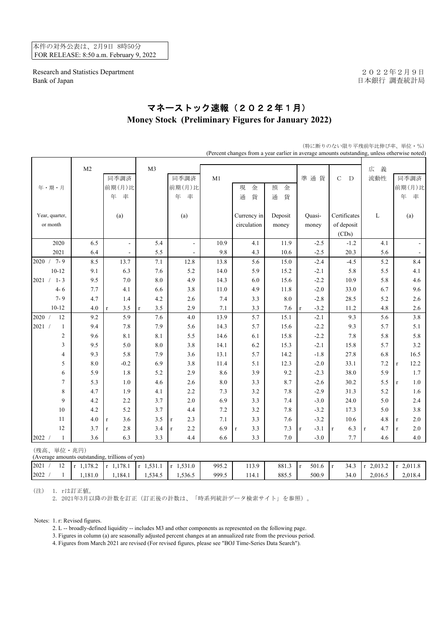本件の対外公表は、2月9日 8時50分 FOR RELEASE: 8:50 a.m. February 9, 2022

Research and Statistics Department 2022年2月9日 Bank of Japan <br>
日本銀行 調査統計局

## マネーストック速報(2022年1月) **Money Stock (Preliminary Figures for January 2022)**

|                                                               |                |                          |                    |                          | (Percent changes from a year earlier in average amounts outstanding, unless otherwise noted) |                     |         |                       |                     |                     |                     |
|---------------------------------------------------------------|----------------|--------------------------|--------------------|--------------------------|----------------------------------------------------------------------------------------------|---------------------|---------|-----------------------|---------------------|---------------------|---------------------|
|                                                               | M <sub>2</sub> |                          | M3                 |                          |                                                                                              |                     |         |                       |                     | 義<br>広              |                     |
|                                                               |                | 同季調済                     |                    | 同季調済                     | M1                                                                                           |                     |         | 準通貨                   | $\mathbf C$<br>D    | 流動性                 | 同季調済                |
| 年・期・月                                                         |                | 前期(月)比                   |                    | 前期(月)比                   |                                                                                              | 現<br>金              | 預<br>金  |                       |                     |                     | 前期(月)比              |
|                                                               |                | 年<br>率                   |                    | 年<br>率                   |                                                                                              | 貨<br>通              | 貨<br>通  |                       |                     |                     | 年<br>率              |
|                                                               |                |                          |                    |                          |                                                                                              |                     |         |                       |                     |                     |                     |
| Year, quarter,                                                |                | (a)                      |                    | (a)                      |                                                                                              | Currency in         | Deposit | Quasi-                | Certificates        | L                   | (a)                 |
| or month                                                      |                |                          |                    |                          |                                                                                              | circulation         | money   | money                 | of deposit          |                     |                     |
|                                                               |                |                          |                    |                          |                                                                                              |                     |         |                       | (CDs)               |                     |                     |
| 2020                                                          | 6.5            | $\blacksquare$           | 5.4                | $\overline{\phantom{a}}$ | 10.9                                                                                         | 4.1                 | 11.9    | $-2.5$                | $-1.2$              | 4.1                 | $\mathbb{L}^2$      |
| 2021                                                          | 6.4            | $\overline{\phantom{a}}$ | 5.5                | $\overline{\phantom{a}}$ | 9.8                                                                                          | 4.3                 | 10.6    | $-2.5$                | 20.3                | 5.6                 | $\blacksquare$      |
| 2020 / 7-9                                                    | 8.5            | 13.7                     | 7.1                | 12.8                     | 13.8                                                                                         | 5.6                 | 15.0    | $-2.4$                | $-4.5$              | 5.2                 | 8.4                 |
| $10 - 12$                                                     | 9.1            | 6.3                      | 7.6                | 5.2                      | 14.0                                                                                         | 5.9                 | 15.2    | $-2.1$                | 5.8                 | 5.5                 | 4.1                 |
| 2021 /<br>$1 - 3$                                             | 9.5            | $7.0\,$                  | 8.0                | 4.9                      | 14.3                                                                                         | 6.0                 | 15.6    | $-2.2$                | 10.9                | 5.8                 | 4.6                 |
| $4 - 6$                                                       | 7.7            | 4.1                      | 6.6                | 3.8                      | 11.0                                                                                         | 4.9                 | 11.8    | $-2.0$                | 33.0                | 6.7                 | 9.6                 |
| $7 - 9$                                                       | 4.7            | 1.4                      | 4.2                | 2.6                      | 7.4                                                                                          | 3.3                 | 8.0     | $-2.8$                | 28.5                | 5.2                 | 2.6                 |
| $10 - 12$                                                     | 4.0            | 3.5<br>$\mathbf{r}$      | 3.5<br>$\mathbf r$ | 2.9                      | 7.1                                                                                          | 3.3                 | 7.6     | $-3.2$<br>$\mathbf r$ | 11.2                | 4.8                 | 2.6                 |
| 12<br>2020 /                                                  | 9.2            | 5.9                      | 7.6                | 4.0                      | 13.9                                                                                         | 5.7                 | 15.1    | $-2.1$                | 9.3                 | 5.6                 | 3.8                 |
| 2021 /<br>$\mathbf{1}$                                        | 9.4            | 7.8                      | 7.9                | 5.6                      | 14.3                                                                                         | 5.7                 | 15.6    | $-2.2$                | 9.3                 | 5.7                 | 5.1                 |
| $\overline{c}$                                                | 9.6            | 8.1                      | 8.1                | 5.5                      | 14.6                                                                                         | 6.1                 | 15.8    | $-2.2$                | 7.8                 | 5.8                 | 5.8                 |
| 3                                                             | 9.5            | 5.0                      | $\ \, 8.0$         | 3.8                      | 14.1                                                                                         | 6.2                 | 15.3    | $-2.1$                | 15.8                | 5.7                 | 3.2                 |
| $\overline{4}$                                                | 9.3            | 5.8                      | 7.9                | 3.6                      | 13.1                                                                                         | 5.7                 | 14.2    | $-1.8$                | 27.8                | 6.8                 | 16.5                |
| 5                                                             | 8.0            | $-0.2$                   | 6.9                | 3.8                      | 11.4                                                                                         | 5.1                 | 12.3    | $-2.0$                | 33.1                | 7.2                 | 12.2<br>$\mathbf r$ |
| 6                                                             | 5.9            | 1.8                      | 5.2                | 2.9                      | 8.6                                                                                          | 3.9                 | 9.2     | $-2.3$                | 38.0                | 5.9                 | 1.7                 |
| $\tau$                                                        | 5.3            | 1.0                      | 4.6                | 2.6                      | 8.0                                                                                          | 3.3                 | 8.7     | $-2.6$                | 30.2                | 5.5                 | 1.0<br>$\mathbf{r}$ |
| $\,$ 8 $\,$                                                   | 4.7            | 1.9                      | 4.1                | 2.2                      | 7.3                                                                                          | 3.2                 | $7.8\,$ | $-2.9$                | 31.3                | 5.2                 | 1.6                 |
| 9                                                             | 4.2            | 2.2                      | 3.7                | 2.0                      | 6.9                                                                                          | 3.3                 | 7.4     | $-3.0$                | 24.0                | 5.0                 | 2.4                 |
| 10                                                            | 4.2            | 5.2                      | 3.7                | 4.4                      | $7.2\,$                                                                                      | 3.2                 | $7.8\,$ | $-3.2$                | 17.3                | 5.0                 | 3.8                 |
| 11                                                            | 4.0            | 3.6<br>$\mathbf r$       | 3.5                | 2.3<br>$\mathbf r$       | 7.1                                                                                          | 3.3                 | 7.6     | $-3.2$                | 10.6                | 4.8                 | 2.0<br>$\mathbf r$  |
| 12                                                            | 3.7            | 2.8<br>$\mathbf{r}$      | 3.4                | 2.2<br>$\mathbf{r}$      | 6.9                                                                                          | 3.3<br>$\mathbf{r}$ | 7.3     | $-3.1$<br>$\mathbf r$ | 6.3<br>$\mathbf{r}$ | 4.7<br>$\mathbf{r}$ | 2.0<br>$\mathbf{r}$ |
| 2022 /<br>$\mathbf{1}$                                        | 3.6            | 6.3                      | 3.3                | 4.4                      | 6.6                                                                                          | 3.3                 | $7.0\,$ | $-3.0$                | 7.7                 | 4.6                 | 4.0                 |
| (残高、単位·兆円)<br>(Average amounts outstanding, trillions of yen) |                |                          |                    |                          |                                                                                              |                     |         |                       |                     |                     |                     |

2021 / 12 r 1,178.2 r 1,178.1 r 1,531.1 r 1,531.0 995.2 113.9 881.3 r 501.6 r 34.3 r 2,013.2 r 2,011.8

(特に断りのない限り平残前年比伸び率、単位・%)

2022 / 1 1,181.0 1,184.1 1,534.5 1,536.5 999.5 114.1 885.5 500.9 34.0 2,016.5 2,018.4

(注) 1. rは訂正値。

2. 2021年3月以降の計数を訂正(訂正後の計数は、「時系列統計データ検索サイト」を参照)。

Notes: 1. r: Revised figures.

2. L -- broadly-defined liquidity -- includes M3 and other components as represented on the following page.

3. Figures in column (a) are seasonally adjusted percent changes at an annualized rate from the previous period.

4. Figures from March 2021 are revised (For revised figures, please see "BOJ Time-Series Data Search").